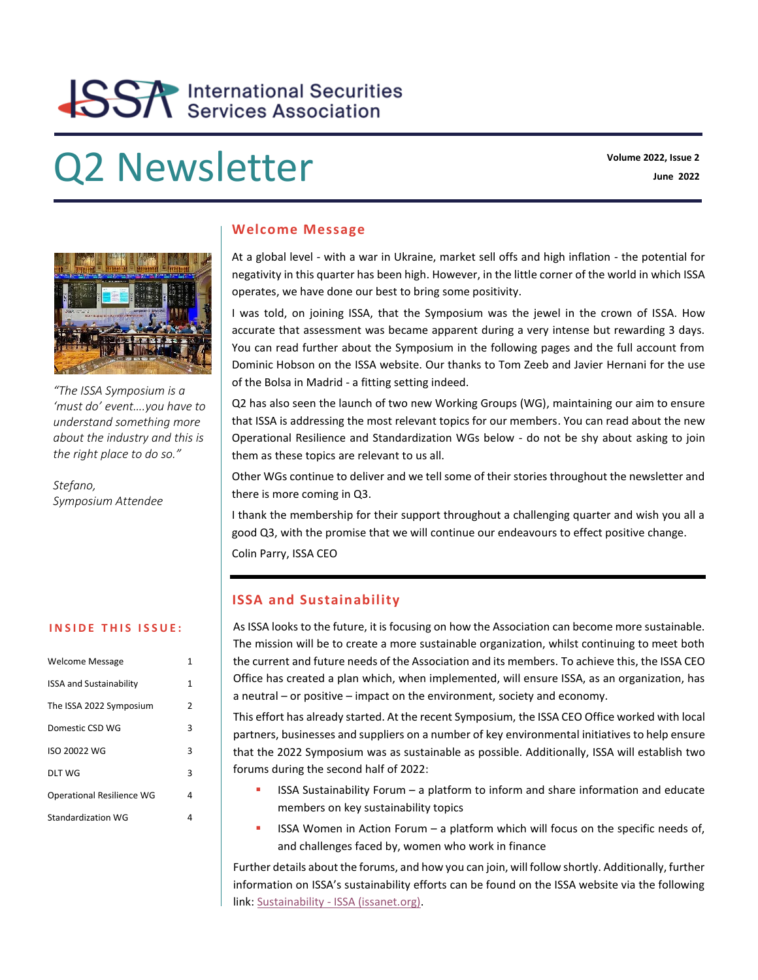# **SSA** International Securities

# **Q2 Newsletter Volume 2022, Issue 2** Volume 2022, Issue 2



*"The ISSA Symposium is a 'must do' event….you have to understand something more about the industry and this is the right place to do so."*

*Stefano, Symposium Attendee*

#### **INSIDE THIS ISSUE:**

| <b>Welcome Message</b>           | 1 |
|----------------------------------|---|
| <b>ISSA and Sustainability</b>   | 1 |
| The ISSA 2022 Symposium          | 2 |
| Domestic CSD WG                  | 3 |
| ISO 20022 WG                     | 3 |
| DLT WG                           | 3 |
| <b>Operational Resilience WG</b> | 4 |
| <b>Standardization WG</b>        | 4 |

#### **Welcome Message**

At a global level - with a war in Ukraine, market sell offs and high inflation - the potential for negativity in this quarter has been high. However, in the little corner of the world in which ISSA operates, we have done our best to bring some positivity.

I was told, on joining ISSA, that the Symposium was the jewel in the crown of ISSA. How accurate that assessment was became apparent during a very intense but rewarding 3 days. You can read further about the Symposium in the following pages and the full account from Dominic Hobson on the ISSA website. Our thanks to Tom Zeeb and Javier Hernani for the use of the Bolsa in Madrid - a fitting setting indeed.

Q2 has also seen the launch of two new Working Groups (WG), maintaining our aim to ensure that ISSA is addressing the most relevant topics for our members. You can read about the new Operational Resilience and Standardization WGs below - do not be shy about asking to join them as these topics are relevant to us all.

Other WGs continue to deliver and we tell some of their stories throughout the newsletter and there is more coming in Q3.

I thank the membership for their support throughout a challenging quarter and wish you all a good Q3, with the promise that we will continue our endeavours to effect positive change.

Colin Parry, ISSA CEO

# **ISSA and Sustainability**

As ISSA looks to the future, it is focusing on how the Association can become more sustainable. The mission will be to create a more sustainable organization, whilst continuing to meet both the current and future needs of the Association and its members. To achieve this, the ISSA CEO Office has created a plan which, when implemented, will ensure ISSA, as an organization, has a neutral – or positive – impact on the environment, society and economy.

This effort has already started. At the recent Symposium, the ISSA CEO Office worked with local partners, businesses and suppliers on a number of key environmental initiatives to help ensure that the 2022 Symposium was as sustainable as possible. Additionally, ISSA will establish two forums during the second half of 2022:

- $ISSA$  Sustainability Forum  $-$  a platform to inform and share information and educate members on key sustainability topics
- $\blacksquare$  ISSA Women in Action Forum a platform which will focus on the specific needs of, and challenges faced by, women who work in finance

Further details about the forums, and how you can join, will follow shortly. Additionally, further information on ISSA's sustainability efforts can be found on the ISSA website via the following link: Sustainability - [ISSA \(issanet.org\).](https://issanet.org/our-association/sustainability/)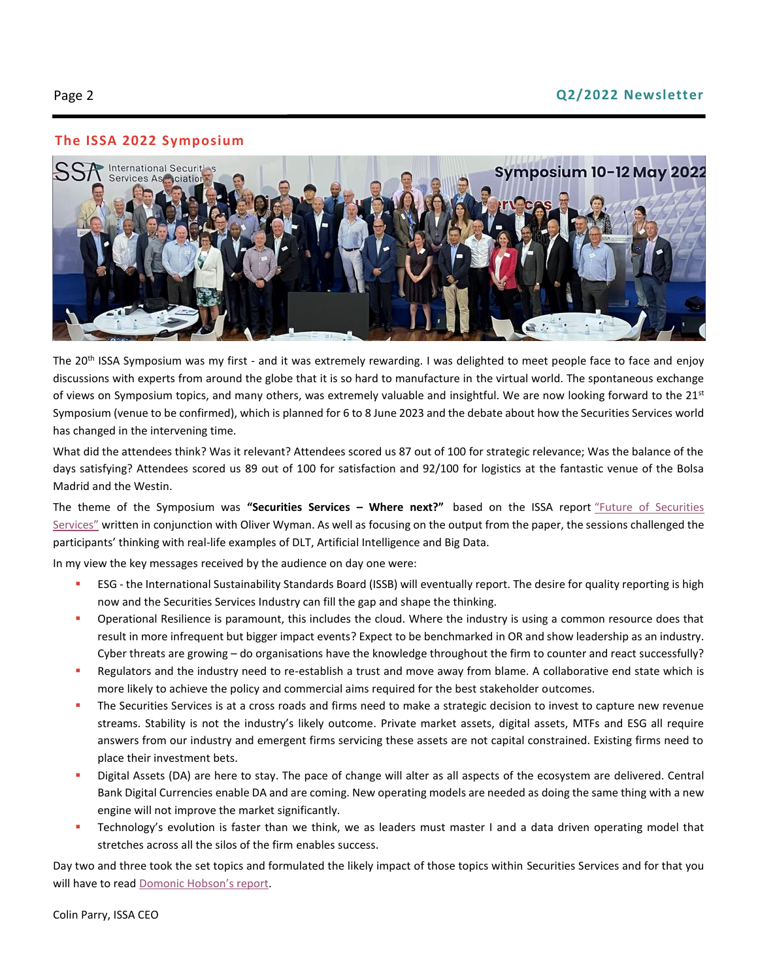# **The ISSA 2022 Symposium**



The 20<sup>th</sup> ISSA Symposium was my first - and it was extremely rewarding. I was delighted to meet people face to face and enjoy discussions with experts from around the globe that it is so hard to manufacture in the virtual world. The spontaneous exchange of views on Symposium topics, and many others, was extremely valuable and insightful. We are now looking forward to the  $21<sup>st</sup>$ Symposium (venue to be confirmed), which is planned for 6 to 8 June 2023 and the debate about how the Securities Services world has changed in the intervening time.

What did the attendees think? Was it relevant? Attendees scored us 87 out of 100 for strategic relevance; Was the balance of the days satisfying? Attendees scored us 89 out of 100 for satisfaction and 92/100 for logistics at the fantastic venue of the Bolsa Madrid and the Westin.

The theme of the Symposium was **"Securities Services – Where next?"** based on the ISSA report ["Future of Securities](https://issanet.org/content/uploads/2013/04/ISSA_Future_of_the_Securities_Services_Industry_final_Nov20.pdf)  [Services"](https://issanet.org/content/uploads/2013/04/ISSA_Future_of_the_Securities_Services_Industry_final_Nov20.pdf) written in conjunction with Oliver Wyman. As well as focusing on the output from the paper, the sessions challenged the participants' thinking with real-life examples of DLT, Artificial Intelligence and Big Data.

In my view the key messages received by the audience on day one were:

- ESG the International Sustainability Standards Board (ISSB) will eventually report. The desire for quality reporting is high now and the Securities Services Industry can fill the gap and shape the thinking.
- **•** Operational Resilience is paramount, this includes the cloud. Where the industry is using a common resource does that result in more infrequent but bigger impact events? Expect to be benchmarked in OR and show leadership as an industry. Cyber threats are growing – do organisations have the knowledge throughout the firm to counter and react successfully?
- **EXECUTABLE 2018 THE INDUST 10 A** collaborative and trust and move away from blame. A collaborative end state which is more likely to achieve the policy and commercial aims required for the best stakeholder outcomes.
- **.** The Securities Services is at a cross roads and firms need to make a strategic decision to invest to capture new revenue streams. Stability is not the industry's likely outcome. Private market assets, digital assets, MTFs and ESG all require answers from our industry and emergent firms servicing these assets are not capital constrained. Existing firms need to place their investment bets.
- **EXP** Digital Assets (DA) are here to stay. The pace of change will alter as all aspects of the ecosystem are delivered. Central Bank Digital Currencies enable DA and are coming. New operating models are needed as doing the same thing with a new engine will not improve the market significantly.
- **EXECO FIGURA IS EXECO FIGURA IS FASTER 1** Technology's evolution is faster I and a data driven operating model that stretches across all the silos of the firm enables success.

Day two and three took the set topics and formulated the likely impact of those topics within Securities Services and for that you will have to read Domonic Ho[bson's report](https://issanet.org/content/uploads/2022/06/ISSA-Symposium-2022-Madrid-Write-up-by-Dominic-Hobson.pdf).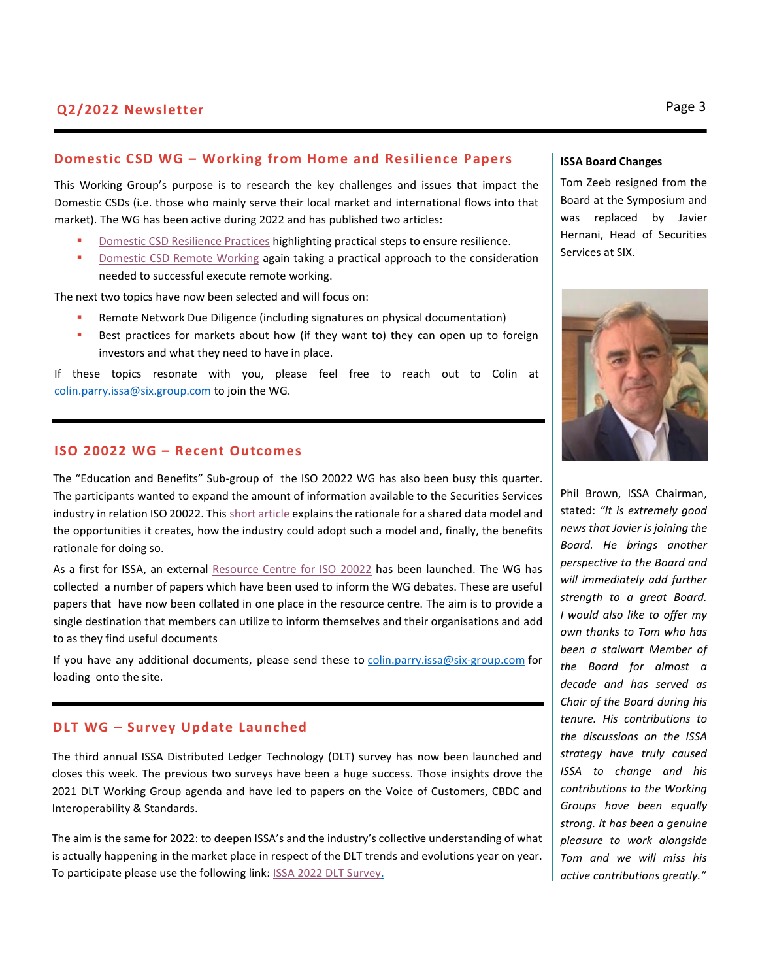# **Domestic CSD WG – Working from Home and Resilience Papers**

This Working Group's purpose is to research the key challenges and issues that impact the Domestic CSDs (i.e. those who mainly serve their local market and international flows into that market). The WG has been active during 2022 and has published two articles:

- [Domestic CSD Resilience Practices](https://issanet.org/content/uploads/2022/03/ISSA-Domestic-CSDs-WG-Resilience.pdf) highlighting practical steps to ensure resilience.
- [Domestic CSD Remote Working](https://issanet.org/content/uploads/2022/03/ISSA-Domestic-CSDs-WG-Remote-Work-final.pdf) again taking a practical approach to the consideration needed to successful execute remote working.

The next two topics have now been selected and will focus on:

- Remote Network Due Diligence (including signatures on physical documentation)
- **EXECT** Best practices for markets about how (if they want to) they can open up to foreign investors and what they need to have in place.

If these topics resonate with you, please feel free to reach out to Colin at [colin.parry.issa@six.group.com](mailto:colin.parry.issa@six.group.com) to join the WG.

#### **ISO 20022 WG – Recent Outcomes**

The "Education and Benefits" Sub-group of the ISO 20022 WG has also been busy this quarter. The participants wanted to expand the amount of information available to the Securities Services industry in relation ISO 20022. This [short article](https://issanet.org/content/uploads/2022/05/ISSA-ISO-20022-Benefits-Final.pdf) explains the rationale for a shared data model and the opportunities it creates, how the industry could adopt such a model and, finally, the benefits rationale for doing so.

As a first for ISSA, an external [Resource Centre for ISO 20022](https://issanet.org/working-groups/iso-20022-working-group-home/iso-20022-non-issa-paper-resource-centre/) has been launched. The WG has collected a number of papers which have been used to inform the WG debates. These are useful papers that have now been collated in one place in the resource centre. The aim is to provide a single destination that members can utilize to inform themselves and their organisations and add to as they find useful documents

If you have any additional documents, please send these to [colin.parry.issa@six-group.com](mailto:colin.parry.issa@six-group.com) for loading onto the site.

# **DLT WG – Survey Update Launched**

The third annual ISSA Distributed Ledger Technology (DLT) survey has now been launched and closes this week. The previous two surveys have been a huge success. Those insights drove the 2021 DLT Working Group agenda and have led to papers on the Voice of Customers, CBDC and Interoperability & Standards.

The aim is the same for 2022: to deepen ISSA's and the industry's collective understanding of what is actually happening in the market place in respect of the DLT trends and evolutions year on year. To participate please use the following link: [ISSA 2022 DLT Survey.](https://info.issanet.org/e/872991/SV-0U6cvEu4tln2RCu-partner-201/dkpch5/1355911744?h=OUBIcWfUSnvMQnAvktED8K6boIPPIU1QC1a-hEDl4kk)

#### **ISSA Board Changes**

Tom Zeeb resigned from the Board at the Symposium and was replaced by Javier Hernani, Head of Securities Services at SIX.



Phil Brown, ISSA Chairman, stated: *"It is extremely good news that Javier is joining the Board. He brings another perspective to the Board and will immediately add further strength to a great Board. I would also like to offer my own thanks to Tom who has been a stalwart Member of the Board for almost a decade and has served as Chair of the Board during his tenure. His contributions to the discussions on the ISSA strategy have truly caused ISSA to change and his contributions to the Working Groups have been equally strong. It has been a genuine pleasure to work alongside Tom and we will miss his active contributions greatly."*